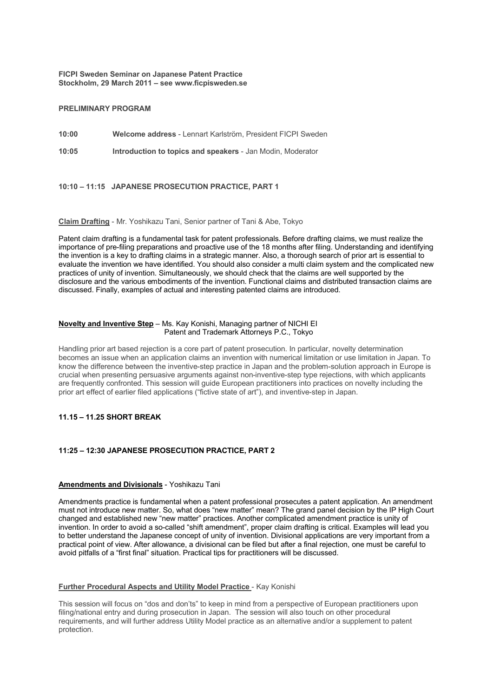**FICPI Sweden Seminar on Japanese Patent Practice Stockholm, 29 March 2011 – see www.ficpisweden.se**

## **PRELIMINARY PROGRAM**

**10:00 Welcome address** - Lennart Karlström, President FICPI Sweden

**10:05 Introduction to topics and speakers** - Jan Modin, Moderator

# **10:10 – 11:15 JAPANESE PROSECUTION PRACTICE, PART 1**

### **Claim Drafting** - Mr. Yoshikazu Tani, Senior partner of Tani & Abe, Tokyo

Patent claim drafting is a fundamental task for patent professionals. Before drafting claims, we must realize the importance of pre-filing preparations and proactive use of the 18 months after filing. Understanding and identifying the invention is a key to drafting claims in a strategic manner. Also, a thorough search of prior art is essential to evaluate the invention we have identified. You should also consider a multi claim system and the complicated new practices of unity of invention. Simultaneously, we should check that the claims are well supported by the disclosure and the various embodiments of the invention. Functional claims and distributed transaction claims are discussed. Finally, examples of actual and interesting patented claims are introduced.

#### **Novelty and Inventive Step** – Ms. Kay Konishi, Managing partner of NICHI EI Patent and Trademark Attorneys P.C., Tokyo

Handling prior art based rejection is a core part of patent prosecution. In particular, novelty determination becomes an issue when an application claims an invention with numerical limitation or use limitation in Japan. To know the difference between the inventive-step practice in Japan and the problem-solution approach in Europe is crucial when presenting persuasive arguments against non-inventive-step type rejections, with which applicants are frequently confronted. This session will guide European practitioners into practices on novelty including the prior art effect of earlier filed applications ("fictive state of art"), and inventive-step in Japan.

# **11.15 – 11.25 SHORT BREAK**

### **11:25 – 12:30 JAPANESE PROSECUTION PRACTICE, PART 2**

### **Amendments and Divisionals** - Yoshikazu Tani

Amendments practice is fundamental when a patent professional prosecutes a patent application. An amendment must not introduce new matter. So, what does "new matter" mean? The grand panel decision by the IP High Court changed and established new "new matter" practices. Another complicated amendment practice is unity of invention. In order to avoid a so-called "shift amendment", proper claim drafting is critical. Examples will lead you to better understand the Japanese concept of unity of invention. Divisional applications are very important from a practical point of view. After allowance, a divisional can be filed but after a final rejection, one must be careful to avoid pitfalls of a "first final" situation. Practical tips for practitioners will be discussed.

#### **Further Procedural Aspects and Utility Model Practice** - Kay Konishi

This session will focus on "dos and don'ts" to keep in mind from a perspective of European practitioners upon filing/national entry and during prosecution in Japan. The session will also touch on other procedural requirements, and will further address Utility Model practice as an alternative and/or a supplement to patent protection.